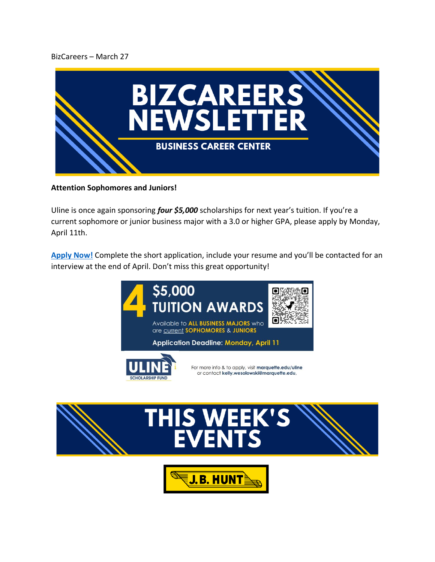### BizCareers – March 27



#### **Attention Sophomores and Juniors!**

Uline is once again sponsoring *four \$5,000* scholarships for next year's tuition. If you're a current sophomore or junior business major with a 3.0 or higher GPA, please apply by Monday, April 11th.

[Apply Now!](https://www.marquette.edu/business/undergraduate/uline-scholarship.php) Complete the short application, include your resume and you'll be contacted for an interview at the end of April. Don't miss this great opportunity!





**J.B. HUNT**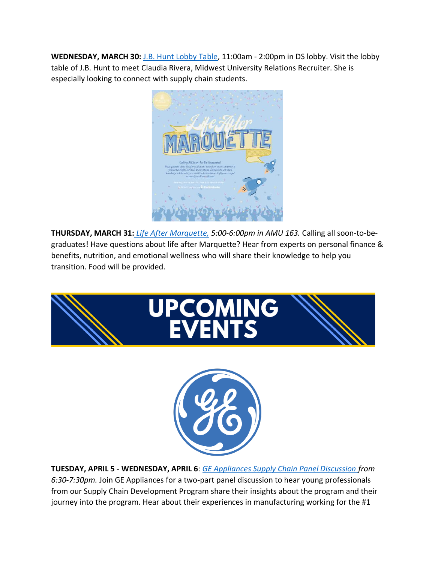**WEDNESDAY, MARCH 30:** [J.B. Hunt Lobby Table,](https://marquette.joinhandshake.com/events/1013629/share_preview) 11:00am - 2:00pm in DS lobby. Visit the lobby table of J.B. Hunt to meet Claudia Rivera, Midwest University Relations Recruiter. She is especially looking to connect with supply chain students.



**THURSDAY, MARCH 31:** *[Life After Marquette,](https://marquette.joinhandshake.com/events/788818/share_preview) 5:00-6:00pm in AMU 163.* Calling all soon-to-begraduates! Have questions about life after Marquette? Hear from experts on personal finance & benefits, nutrition, and emotional wellness who will share their knowledge to help you transition. Food will be provided.



**TUESDAY, APRIL 5 - WEDNESDAY, APRIL 6**: *[GE Appliances Supply Chain Panel Discussion f](https://marquette.joinhandshake.com/events/1006817/share_preview)rom 6:30-7:30pm.* Join GE Appliances for a two-part panel discussion to hear young professionals from our Supply Chain Development Program share their insights about the program and their journey into the program. Hear about their experiences in manufacturing working for the #1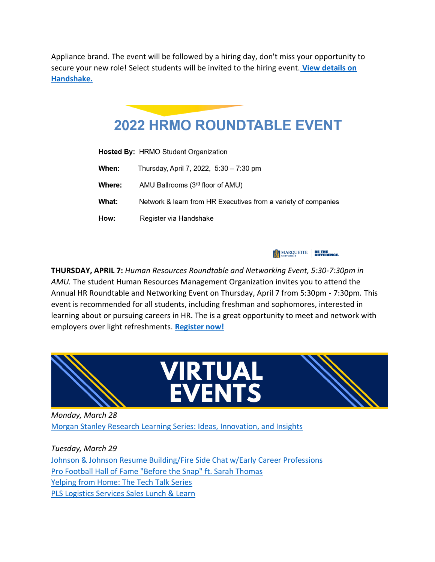Appliance brand. The event will be followed by a hiring day, don't miss your opportunity to secure your new role! Select students will be invited to the hiring event. **[View details on](https://marquette.joinhandshake.com/events/1009056/share_preview)  [Handshake.](https://marquette.joinhandshake.com/events/1009056/share_preview)**

# **2022 HRMO ROUNDTABLE EVENT**

Hosted By: HRMO Student Organization When: Thursday, April 7, 2022, 5:30 - 7:30 pm AMU Ballrooms (3rd floor of AMU) Where: What: Network & learn from HR Executives from a variety of companies How: Register via Handshake

**ETHE MARQUETTE BE THE DIFFERENCE.** 

**THURSDAY, APRIL 7:** *Human Resources Roundtable and Networking Event, 5:30-7:30pm in AMU.* The student Human Resources Management Organization invites you to attend the Annual HR Roundtable and Networking Event on Thursday, April 7 from 5:30pm - 7:30pm. This event is recommended for all students, including freshman and sophomores, interested in learning about or pursuing careers in HR. The is a great opportunity to meet and network with employers over light refreshments. **[Register now!](https://marquette.joinhandshake.com/career_fairs/31467/student_preview?token=SWPc1mX8Q72ncIjj3QEZJqhFtXhc5p88UlopwIaOIX1rlgtSHJey7g)**



*Monday, March 28* [Morgan Stanley Research Learning Series: Ideas, Innovation, and Insights](https://marquette.joinhandshake.com/events/981368/share_preview)

*Tuesday, March 29* [Johnson & Johnson Resume Building/Fire Side Chat w/Early Career Professions](https://marquette.joinhandshake.com/events/1002609/share_preview) [Pro Football Hall of Fame "Before the Snap" ft. Sarah Thomas](https://marquette.joinhandshake.com/events/998537/share_preview) [Yelping from Home: The Tech Talk Series](https://marquette.joinhandshake.com/events/1005981/share_preview) [PLS Logistics Services Sales Lunch & Learn](https://marquette.joinhandshake.com/events/1010076/share_preview)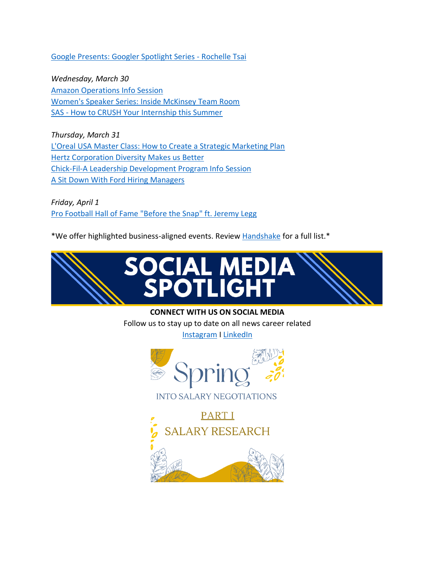[Google Presents: Googler Spotlight Series -](https://marquette.joinhandshake.com/events/992966/share_preview) Rochelle Ts[ai](https://marquette.joinhandshake.com/events/992966/share_preview)

*Wednesday, March 30* [Amazon Operations Info Session](https://marquette.joinhandshake.com/events/1009910/share_preview) [Women's Speaker Series: Inside McKinsey Team Room](https://marquette.joinhandshake.com/events/975900/share_preview) SAS - [How to CRUSH Your Internship this Summer](https://marquette.joinhandshake.com/events/971012/share_preview)

*Thursday, March 31* [L'Oreal USA Master Class: How to Create a Strategic Marketing Plan](https://marquette.joinhandshake.com/events/999042/share_preview) [Hertz Corporation Diversity Makes us Better](https://marquette.joinhandshake.com/events/999843/share_preview) [Chick-Fil-A Leadership Development Program Info Session](https://marquette.joinhandshake.com/events/982993/share_preview) [A Sit Down With Ford Hiring Managers](https://marquette.joinhandshake.com/events/1010966/share_preview)

*Friday, April 1* [Pro Football Hall of Fame "Before the Snap" ft. Jeremy Legg](https://marquette.joinhandshake.com/events/1005437/share_preview)

\*We offer highlighted business-aligned events. Review [Handshake](https://marquette.joinhandshake.com/edu/events) for a full list.\*



#### **CONNECT WITH US ON SOCIAL MEDIA**

Follow us to stay up to date on all news career related [Instagram](https://www.instagram.com/accounts/login/?next=/mubizcareers/) I [LinkedIn](https://www.linkedin.com/company/mubizcareers/)



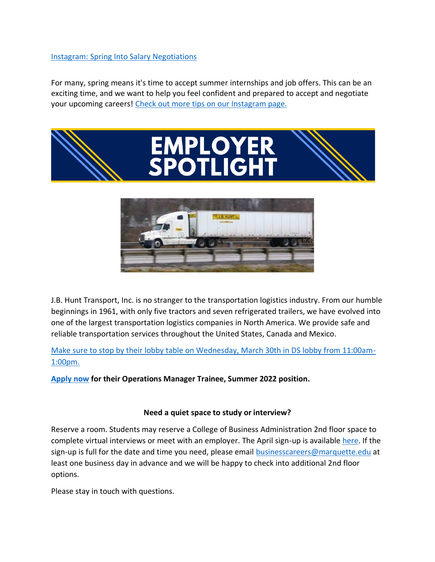## [Instagram: Spring Into Salary Negotiations](https://www.instagram.com/p/CbagovhOpID/?utm_medium=copy_link)

For many, spring means it's time to accept summer internships and job offers. This can be an exciting time, and we want to help you feel confident and prepared to accept and negotiate your upcoming careers! [Check out more tips on our Instagram page.](https://www.instagram.com/p/CbagovhOpID/?utm_medium=copy_link)





J.B. Hunt Transport, Inc. is no stranger to the transportation logistics industry. From our humble beginnings in 1961, with only five tractors and seven refrigerated trailers, we have evolved into one of the largest transportation logistics companies in North America. We provide safe and reliable transportation services throughout the United States, Canada and Mexico.

[Make sure to stop by their lobby table on Wednesday, March 30th in DS lobby from 11:00am-](https://marquette.joinhandshake.com/events/1013629/share_preview)[1:00pm.](https://marquette.joinhandshake.com/events/1013629/share_preview) 

**[Apply now](https://marquette.joinhandshake.com/jobs/6063649/share_preview) for their Operations Manager Trainee, Summer 2022 position.**

#### **Need a quiet space to study or interview?**

Reserve a room. Students may reserve a College of Business Administration 2nd floor space to complete virtual interviews or meet with an employer. The April sign-up is available [here.](https://www.signupgenius.com/go/10C044FADA92BA5F85-april) If the sign-up is full for the date and time you need, please email [businesscareers@marquette.edu](https://marquette.joinhandshake.com/edu/mass_emails/1029980/businesscareers@marquette.edu) at least one business day in advance and we will be happy to check into additional 2nd floor options.

Please stay in touch with questions.